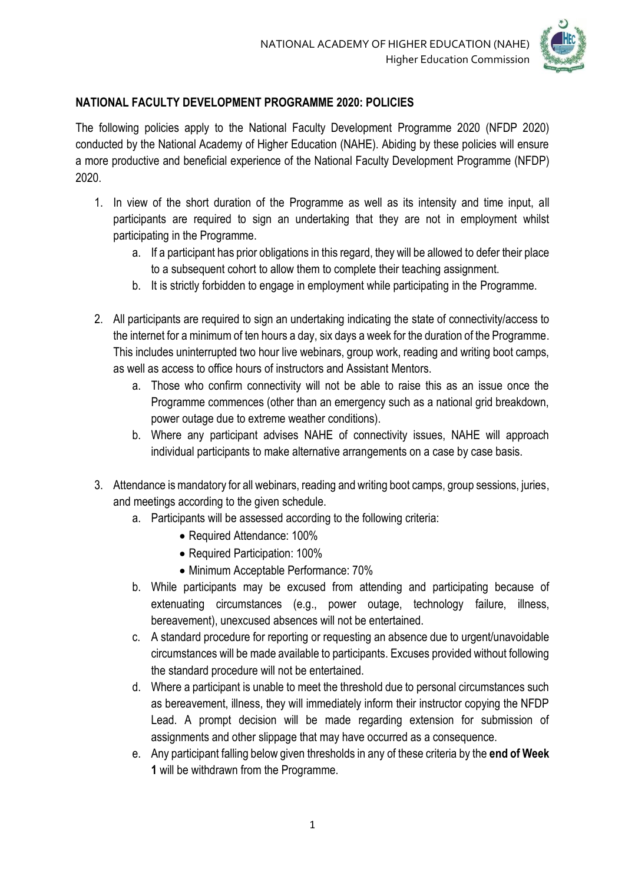

## **NATIONAL FACULTY DEVELOPMENT PROGRAMME 2020: POLICIES**

The following policies apply to the National Faculty Development Programme 2020 (NFDP 2020) conducted by the National Academy of Higher Education (NAHE). Abiding by these policies will ensure a more productive and beneficial experience of the National Faculty Development Programme (NFDP) 2020.

- 1. In view of the short duration of the Programme as well as its intensity and time input, all participants are required to sign an undertaking that they are not in employment whilst participating in the Programme.
	- a. If a participant has prior obligations in this regard, they will be allowed to defer their place to a subsequent cohort to allow them to complete their teaching assignment.
	- b. It is strictly forbidden to engage in employment while participating in the Programme.
- 2. All participants are required to sign an undertaking indicating the state of connectivity/access to the internet for a minimum of ten hours a day, six days a week for the duration of the Programme. This includes uninterrupted two hour live webinars, group work, reading and writing boot camps, as well as access to office hours of instructors and Assistant Mentors.
	- a. Those who confirm connectivity will not be able to raise this as an issue once the Programme commences (other than an emergency such as a national grid breakdown, power outage due to extreme weather conditions).
	- b. Where any participant advises NAHE of connectivity issues, NAHE will approach individual participants to make alternative arrangements on a case by case basis.
- 3. Attendance is mandatory for all webinars, reading and writing boot camps, group sessions, juries, and meetings according to the given schedule.
	- a. Participants will be assessed according to the following criteria:
		- Required Attendance: 100%
		- Required Participation: 100%
		- Minimum Acceptable Performance: 70%
	- b. While participants may be excused from attending and participating because of extenuating circumstances (e.g., power outage, technology failure, illness, bereavement), unexcused absences will not be entertained.
	- c. A standard procedure for reporting or requesting an absence due to urgent/unavoidable circumstances will be made available to participants. Excuses provided without following the standard procedure will not be entertained.
	- d. Where a participant is unable to meet the threshold due to personal circumstances such as bereavement, illness, they will immediately inform their instructor copying the NFDP Lead. A prompt decision will be made regarding extension for submission of assignments and other slippage that may have occurred as a consequence.
	- e. Any participant falling below given thresholds in any of these criteria by the **end of Week 1** will be withdrawn from the Programme.